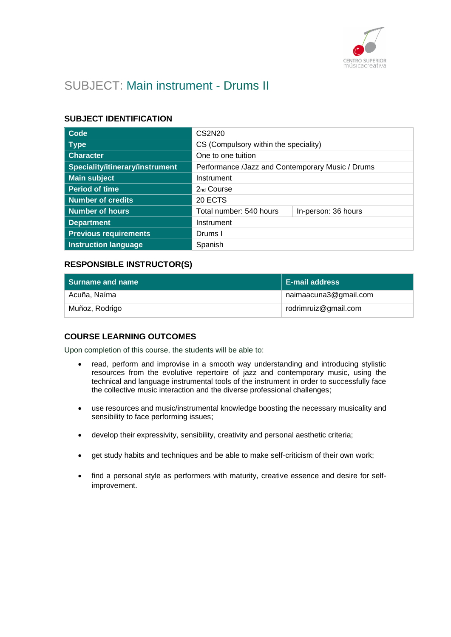

# SUBJECT: Main instrument - Drums II

# **SUBJECT IDENTIFICATION**

| Code                            | CS2N20                                           |                     |
|---------------------------------|--------------------------------------------------|---------------------|
| <b>Type</b>                     | CS (Compulsory within the speciality)            |                     |
| <b>Character</b>                | One to one tuition                               |                     |
| Speciality/itinerary/instrument | Performance /Jazz and Contemporary Music / Drums |                     |
| <b>Main subject</b>             | Instrument                                       |                     |
| <b>Period of time</b>           | 2 <sub>nd</sub> Course                           |                     |
| <b>Number of credits</b>        | 20 ECTS                                          |                     |
| <b>Number of hours</b>          | Total number: 540 hours                          | In-person: 36 hours |
| <b>Department</b>               | Instrument                                       |                     |
| <b>Previous requirements</b>    | Drums I                                          |                     |
| <b>Instruction language</b>     | Spanish                                          |                     |

# **RESPONSIBLE INSTRUCTOR(S)**

| Surname and name | <b>E-mail address</b> |
|------------------|-----------------------|
| Acuña, Naíma     | naimaacuna3@gmail.com |
| Muñoz, Rodrigo   | rodrimruiz@gmail.com  |

# **COURSE LEARNING OUTCOMES**

Upon completion of this course, the students will be able to:

- read, perform and improvise in a smooth way understanding and introducing stylistic resources from the evolutive repertoire of jazz and contemporary music, using the technical and language instrumental tools of the instrument in order to successfully face the collective music interaction and the diverse professional challenges;
- use resources and music/instrumental knowledge boosting the necessary musicality and sensibility to face performing issues;
- develop their expressivity, sensibility, creativity and personal aesthetic criteria;
- get study habits and techniques and be able to make self-criticism of their own work;
- find a personal style as performers with maturity, creative essence and desire for selfimprovement.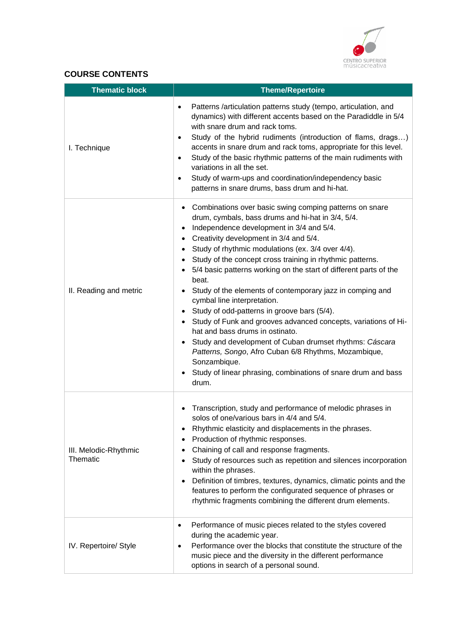

# **COURSE CONTENTS**

| <b>Thematic block</b>             | <b>Theme/Repertoire</b>                                                                                                                                                                                                                                                                                                                                                                                                                                                                                                                                                                                                                                                                                                                                                                                                                                                                                |
|-----------------------------------|--------------------------------------------------------------------------------------------------------------------------------------------------------------------------------------------------------------------------------------------------------------------------------------------------------------------------------------------------------------------------------------------------------------------------------------------------------------------------------------------------------------------------------------------------------------------------------------------------------------------------------------------------------------------------------------------------------------------------------------------------------------------------------------------------------------------------------------------------------------------------------------------------------|
| I. Technique                      | Patterns /articulation patterns study (tempo, articulation, and<br>$\bullet$<br>dynamics) with different accents based on the Paradiddle in 5/4<br>with snare drum and rack toms.<br>Study of the hybrid rudiments (introduction of flams, drags)<br>$\bullet$<br>accents in snare drum and rack toms, appropriate for this level.<br>Study of the basic rhythmic patterns of the main rudiments with<br>$\bullet$<br>variations in all the set.<br>Study of warm-ups and coordination/independency basic<br>patterns in snare drums, bass drum and hi-hat.                                                                                                                                                                                                                                                                                                                                            |
| II. Reading and metric            | Combinations over basic swing comping patterns on snare<br>$\bullet$<br>drum, cymbals, bass drums and hi-hat in 3/4, 5/4.<br>Independence development in 3/4 and 5/4.<br>$\bullet$<br>Creativity development in 3/4 and 5/4.<br>Study of rhythmic modulations (ex. 3/4 over 4/4).<br>$\bullet$<br>Study of the concept cross training in rhythmic patterns.<br>5/4 basic patterns working on the start of different parts of the<br>beat.<br>Study of the elements of contemporary jazz in comping and<br>cymbal line interpretation.<br>Study of odd-patterns in groove bars (5/4).<br>Study of Funk and grooves advanced concepts, variations of Hi-<br>hat and bass drums in ostinato.<br>Study and development of Cuban drumset rhythms: Cáscara<br>Patterns, Songo, Afro Cuban 6/8 Rhythms, Mozambique,<br>Sonzambique.<br>Study of linear phrasing, combinations of snare drum and bass<br>drum. |
| III. Melodic-Rhythmic<br>Thematic | Transcription, study and performance of melodic phrases in<br>solos of one/various bars in 4/4 and 5/4.<br>Rhythmic elasticity and displacements in the phrases.<br>Production of rhythmic responses.<br>Chaining of call and response fragments.<br>$\bullet$<br>Study of resources such as repetition and silences incorporation<br>within the phrases.<br>Definition of timbres, textures, dynamics, climatic points and the<br>$\bullet$<br>features to perform the configurated sequence of phrases or<br>rhythmic fragments combining the different drum elements.                                                                                                                                                                                                                                                                                                                               |
| IV. Repertoire/ Style             | Performance of music pieces related to the styles covered<br>$\bullet$<br>during the academic year.<br>Performance over the blocks that constitute the structure of the<br>$\bullet$<br>music piece and the diversity in the different performance<br>options in search of a personal sound.                                                                                                                                                                                                                                                                                                                                                                                                                                                                                                                                                                                                           |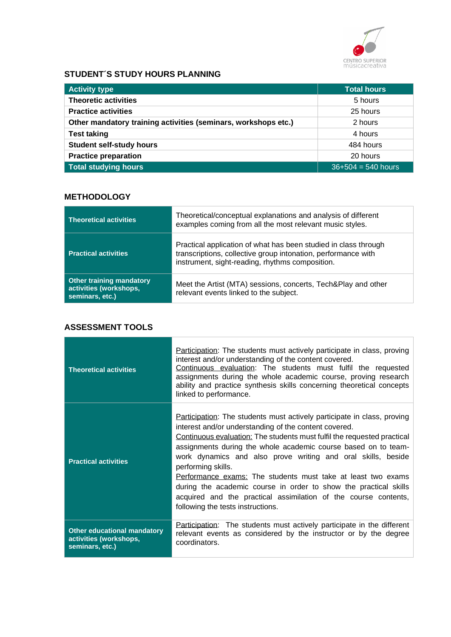

# **STUDENT´S STUDY HOURS PLANNING**

| <b>Activity type</b>                                           | <b>Total hours</b>   |
|----------------------------------------------------------------|----------------------|
| <b>Theoretic activities</b>                                    | 5 hours              |
| <b>Practice activities</b>                                     | 25 hours             |
| Other mandatory training activities (seminars, workshops etc.) | 2 hours              |
| <b>Test taking</b>                                             | 4 hours              |
| <b>Student self-study hours</b>                                | 484 hours            |
| <b>Practice preparation</b>                                    | 20 hours             |
| <b>Total studying hours</b>                                    | $36+504 = 540$ hours |

# **METHODOLOGY**

| <b>Theoretical activities</b>                                                | Theoretical/conceptual explanations and analysis of different<br>examples coming from all the most relevant music styles.                                                           |
|------------------------------------------------------------------------------|-------------------------------------------------------------------------------------------------------------------------------------------------------------------------------------|
| <b>Practical activities</b>                                                  | Practical application of what has been studied in class through<br>transcriptions, collective group intonation, performance with<br>instrument, sight-reading, rhythms composition. |
| <b>Other training mandatory</b><br>activities (workshops,<br>seminars, etc.) | Meet the Artist (MTA) sessions, concerts, Tech&Play and other<br>relevant events linked to the subject.                                                                             |

# **ASSESSMENT TOOLS**

| <b>Theoretical activities</b>                                                   | Participation: The students must actively participate in class, proving<br>interest and/or understanding of the content covered.<br>Continuous evaluation: The students must fulfil the requested<br>assignments during the whole academic course, proving research<br>ability and practice synthesis skills concerning theoretical concepts<br>linked to performance.                                                                                                                                                                                                                                                 |
|---------------------------------------------------------------------------------|------------------------------------------------------------------------------------------------------------------------------------------------------------------------------------------------------------------------------------------------------------------------------------------------------------------------------------------------------------------------------------------------------------------------------------------------------------------------------------------------------------------------------------------------------------------------------------------------------------------------|
| <b>Practical activities</b>                                                     | <b>Participation:</b> The students must actively participate in class, proving<br>interest and/or understanding of the content covered.<br>Continuous evaluation: The students must fulfil the requested practical<br>assignments during the whole academic course based on to team-<br>work dynamics and also prove writing and oral skills, beside<br>performing skills.<br>Performance exams: The students must take at least two exams<br>during the academic course in order to show the practical skills<br>acquired and the practical assimilation of the course contents,<br>following the tests instructions. |
| <b>Other educational mandatory</b><br>activities (workshops,<br>seminars, etc.) | Participation: The students must actively participate in the different<br>relevant events as considered by the instructor or by the degree<br>coordinators.                                                                                                                                                                                                                                                                                                                                                                                                                                                            |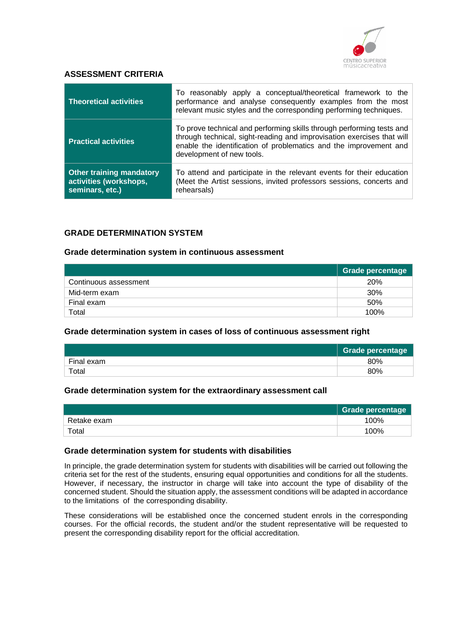

### **ASSESSMENT CRITERIA**

| <b>Theoretical activities</b>                                                | To reasonably apply a conceptual/theoretical framework to the<br>performance and analyse consequently examples from the most<br>relevant music styles and the corresponding performing techniques.                                                |
|------------------------------------------------------------------------------|---------------------------------------------------------------------------------------------------------------------------------------------------------------------------------------------------------------------------------------------------|
| <b>Practical activities</b>                                                  | To prove technical and performing skills through performing tests and<br>through technical, sight-reading and improvisation exercises that will<br>enable the identification of problematics and the improvement and<br>development of new tools. |
| <b>Other training mandatory</b><br>activities (workshops,<br>seminars, etc.) | To attend and participate in the relevant events for their education<br>(Meet the Artist sessions, invited professors sessions, concerts and<br>rehearsals)                                                                                       |

### **GRADE DETERMINATION SYSTEM**

#### **Grade determination system in continuous assessment**

|                       | <b>Grade percentage</b> |
|-----------------------|-------------------------|
| Continuous assessment | <b>20%</b>              |
| Mid-term exam         | <b>30%</b>              |
| Final exam            | 50%                     |
| Total                 | 100%                    |

#### **Grade determination system in cases of loss of continuous assessment right**

|            | Grade percentage |
|------------|------------------|
| Final exam | 80%              |
| Total      | 80%              |

#### **Grade determination system for the extraordinary assessment call**

|             | Grade percentage |
|-------------|------------------|
| Retake exam | 100%             |
| Total       | 100%             |

#### **Grade determination system for students with disabilities**

In principle, the grade determination system for students with disabilities will be carried out following the criteria set for the rest of the students, ensuring equal opportunities and conditions for all the students. However, if necessary, the instructor in charge will take into account the type of disability of the concerned student. Should the situation apply, the assessment conditions will be adapted in accordance to the limitations of the corresponding disability.

These considerations will be established once the concerned student enrols in the corresponding courses. For the official records, the student and/or the student representative will be requested to present the corresponding disability report for the official accreditation.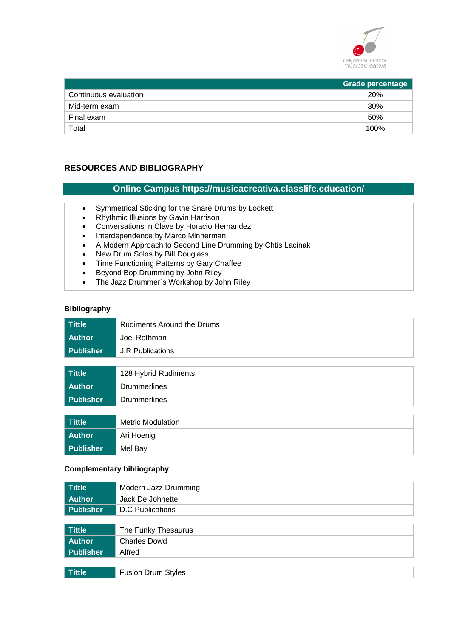

|                       | <b>Grade percentage</b> |
|-----------------------|-------------------------|
| Continuous evaluation | <b>20%</b>              |
| Mid-term exam         | 30%                     |
| Final exam            | 50%                     |
| Total                 | 100%                    |

# **RESOURCES AND BIBLIOGRAPHY**

### **Online Campus https://musicacreativa.classlife.education/**

- Symmetrical Sticking for the Snare Drums by Lockett
- Rhythmic Illusions by Gavin Harrison
- Conversations in Clave by Horacio Hernandez
- Interdependence by Marco Minnerman
- A Modern Approach to Second Line Drumming by Chtis Lacinak<br>• New Drum Solos by Bill Doualass
- New Drum Solos by Bill Douglass
- Time Functioning Patterns by Gary Chaffee
- Beyond Bop Drumming by John Riley
- The Jazz Drummer´s Workshop by John Riley

#### **Bibliography**

| <b>Tittle</b>    | <b>Rudiments Around the Drums</b> |
|------------------|-----------------------------------|
| <b>Author</b>    | Joel Rothman                      |
| <b>Publisher</b> | <b>J.R Publications</b>           |
|                  |                                   |
| <b>Tittle</b>    | 128 Hybrid Rudiments              |
| <b>Author</b>    | <b>Drummerlines</b>               |
| <b>Publisher</b> | <b>Drummerlines</b>               |
|                  |                                   |
| <b>Tittle</b>    | <b>Metric Modulation</b>          |
| <b>Author</b>    | Ari Hoenig                        |
| <b>Publisher</b> | Mel Bay                           |

### **Complementary bibliography**

| <b>Tittle</b>    | Modern Jazz Drumming      |
|------------------|---------------------------|
| <b>Author</b>    | Jack De Johnette          |
| <b>Publisher</b> | <b>D.C</b> Publications   |
|                  |                           |
| <b>Tittle</b>    | The Funky Thesaurus       |
| <b>Author</b>    | <b>Charles Dowd</b>       |
| <b>Publisher</b> | Alfred                    |
|                  |                           |
| <b>Tittle</b>    | <b>Fusion Drum Styles</b> |